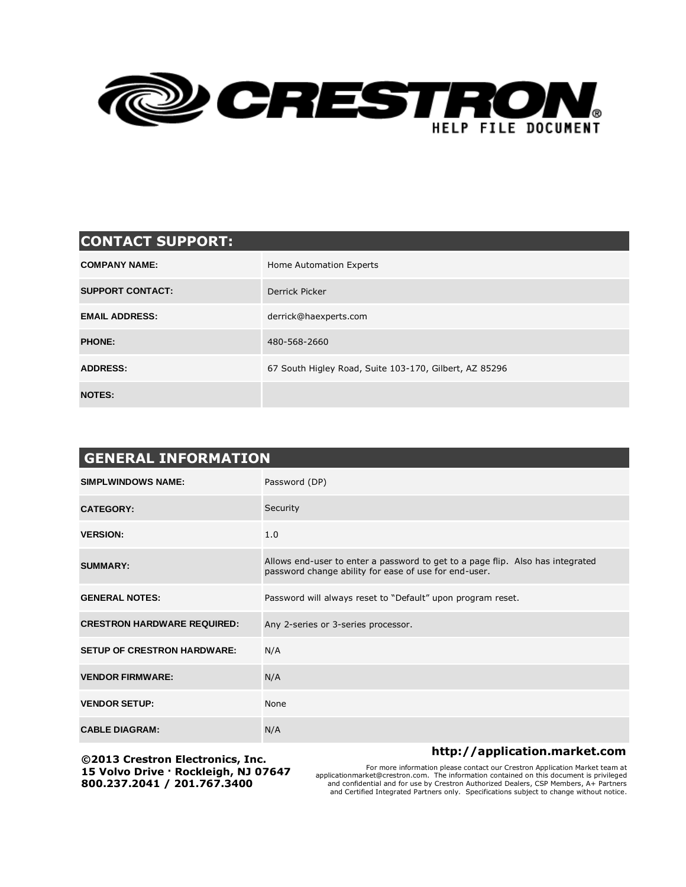

## **CONTACT SUPPORT:**

| <b>COMPANY NAME:</b>    | Home Automation Experts                                |
|-------------------------|--------------------------------------------------------|
| <b>SUPPORT CONTACT:</b> | Derrick Picker                                         |
| <b>EMAIL ADDRESS:</b>   | derrick@haexperts.com                                  |
| <b>PHONE:</b>           | 480-568-2660                                           |
| <b>ADDRESS:</b>         | 67 South Higley Road, Suite 103-170, Gilbert, AZ 85296 |
| <b>NOTES:</b>           |                                                        |

| <b>GENERAL INFORMATION</b>         |                                                                                                                                         |  |  |
|------------------------------------|-----------------------------------------------------------------------------------------------------------------------------------------|--|--|
| <b>SIMPLWINDOWS NAME:</b>          | Password (DP)                                                                                                                           |  |  |
| <b>CATEGORY:</b>                   | Security                                                                                                                                |  |  |
| <b>VERSION:</b>                    | 1.0                                                                                                                                     |  |  |
| <b>SUMMARY:</b>                    | Allows end-user to enter a password to get to a page flip. Also has integrated<br>password change ability for ease of use for end-user. |  |  |
| <b>GENERAL NOTES:</b>              | Password will always reset to "Default" upon program reset.                                                                             |  |  |
| <b>CRESTRON HARDWARE REQUIRED:</b> | Any 2-series or 3-series processor.                                                                                                     |  |  |
| <b>SETUP OF CRESTRON HARDWARE:</b> | N/A                                                                                                                                     |  |  |
| <b>VENDOR FIRMWARE:</b>            | N/A                                                                                                                                     |  |  |
| <b>VENDOR SETUP:</b>               | None                                                                                                                                    |  |  |
| <b>CABLE DIAGRAM:</b>              | N/A                                                                                                                                     |  |  |

**©2013 Crestron Electronics, Inc. 15 Volvo Drive · Rockleigh, NJ 07647 800.237.2041 / 201.767.3400**

## **http://application.market.com**

For more information please contact our Crestron Application Market team at<br>he information computation of the information contained on this document is privileged<br>and confidential and for use by Crestron Authorized Dealers and Certified Integrated Partners only. Specifications subject to change without notice.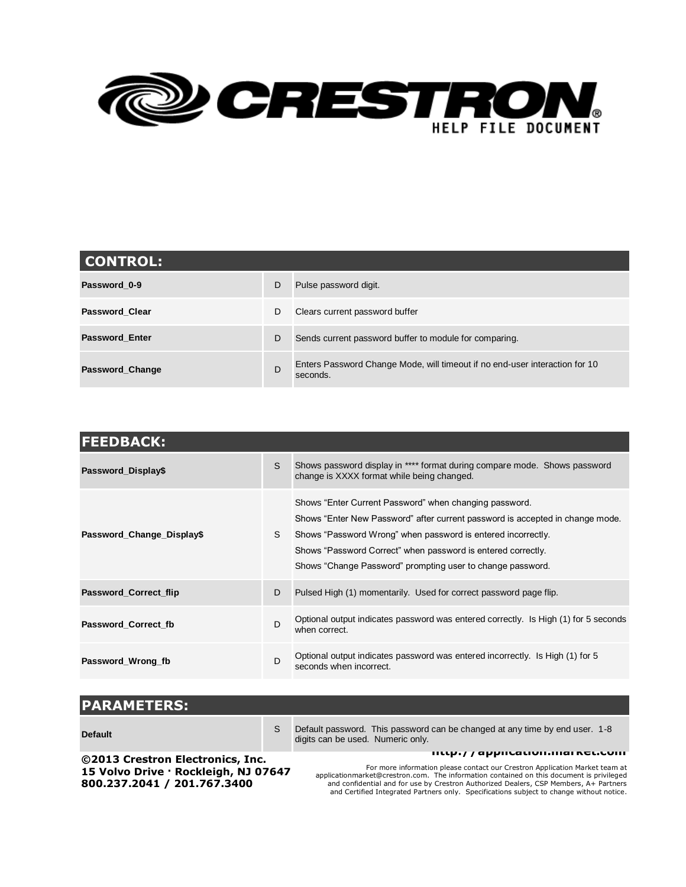

| <b>CONTROL:</b>       |   |                                                                                         |  |  |
|-----------------------|---|-----------------------------------------------------------------------------------------|--|--|
| Password 0-9          | D | Pulse password digit.                                                                   |  |  |
| <b>Password Clear</b> | D | Clears current password buffer                                                          |  |  |
| <b>Password Enter</b> | D | Sends current password buffer to module for comparing.                                  |  |  |
| Password_Change       | D | Enters Password Change Mode, will timeout if no end-user interaction for 10<br>seconds. |  |  |

| <b>FEEDBACK:</b>          |   |                                                                                                                                                                                                                                                                                                                                       |  |
|---------------------------|---|---------------------------------------------------------------------------------------------------------------------------------------------------------------------------------------------------------------------------------------------------------------------------------------------------------------------------------------|--|
| Password_Display\$        | S | Shows password display in **** format during compare mode. Shows password<br>change is XXXX format while being changed.                                                                                                                                                                                                               |  |
| Password_Change_Display\$ | S | Shows "Enter Current Password" when changing password.<br>Shows "Enter New Password" after current password is accepted in change mode.<br>Shows "Password Wrong" when password is entered incorrectly.<br>Shows "Password Correct" when password is entered correctly.<br>Shows "Change Password" prompting user to change password. |  |
| Password_Correct_flip     | D | Pulsed High (1) momentarily. Used for correct password page flip.                                                                                                                                                                                                                                                                     |  |
| Password Correct fb       | D | Optional output indicates password was entered correctly. Is High (1) for 5 seconds<br>when correct.                                                                                                                                                                                                                                  |  |
| Password_Wrong_fb         | D | Optional output indicates password was entered incorrectly. Is High (1) for 5<br>seconds when incorrect.                                                                                                                                                                                                                              |  |

| <b>PARAMETERS:</b>                   |   |                                                                                                                  |
|--------------------------------------|---|------------------------------------------------------------------------------------------------------------------|
| <b>Default</b>                       | S | Default password. This password can be changed at any time by end user. 1-8<br>digits can be used. Numeric only. |
| ©2013 Crestron Electronics, Inc.     |   | <b>IIIIIIII</b> / application.inal Acticulii                                                                     |
| 15 Velve Drive : Reekleich, N1 07647 |   | For more information please contact our Crestron Application Market team at                                      |

**15 Volvo Drive · Rockleigh, NJ 07647 800.237.2041 / 201.767.3400**

For more information please contact our Crestron Application Market team at applicationmarket@crestron.com. The information contained on this document is privileged and confidential and for use by Crestron Authorized Dealers, CSP Members, A+ Partners and Certified Integrated Partners only. Specifications subject to change without notice.